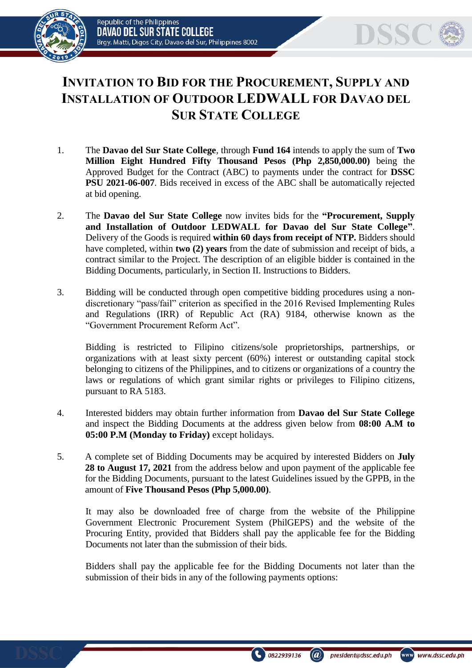



## **INVITATION TO BID FOR THE PROCUREMENT, SUPPLY AND INSTALLATION OF OUTDOOR LEDWALL FOR DAVAO DEL SUR STATE COLLEGE**

- 1. The **Davao del Sur State College**, through **Fund 164** intends to apply the sum of **Two Million Eight Hundred Fifty Thousand Pesos (Php 2,850,000.00)** being the Approved Budget for the Contract (ABC) to payments under the contract for **DSSC PSU 2021-06-007**. Bids received in excess of the ABC shall be automatically rejected at bid opening.
- 2. The **Davao del Sur State College** now invites bids for the **"Procurement, Supply and Installation of Outdoor LEDWALL for Davao del Sur State College"**. Delivery of the Goods is required **within 60 days from receipt of NTP.** Bidders should have completed, within **two (2) years** from the date of submission and receipt of bids, a contract similar to the Project. The description of an eligible bidder is contained in the Bidding Documents, particularly, in Section II. Instructions to Bidders.
- 3. Bidding will be conducted through open competitive bidding procedures using a nondiscretionary "pass/fail" criterion as specified in the 2016 Revised Implementing Rules and Regulations (IRR) of Republic Act (RA) 9184, otherwise known as the "Government Procurement Reform Act".

Bidding is restricted to Filipino citizens/sole proprietorships, partnerships, or organizations with at least sixty percent (60%) interest or outstanding capital stock belonging to citizens of the Philippines, and to citizens or organizations of a country the laws or regulations of which grant similar rights or privileges to Filipino citizens, pursuant to RA 5183.

- 4. Interested bidders may obtain further information from **Davao del Sur State College** and inspect the Bidding Documents at the address given below from **08:00 A.M to 05:00 P.M (Monday to Friday)** except holidays.
- 5. A complete set of Bidding Documents may be acquired by interested Bidders on **July 28 to August 17, 2021** from the address below and upon payment of the applicable fee for the Bidding Documents, pursuant to the latest Guidelines issued by the GPPB, in the amount of **Five Thousand Pesos (Php 5,000.00)**.

It may also be downloaded free of charge from the website of the Philippine Government Electronic Procurement System (PhilGEPS) and the website of the Procuring Entity*,* provided that Bidders shall pay the applicable fee for the Bidding Documents not later than the submission of their bids.

Bidders shall pay the applicable fee for the Bidding Documents not later than the submission of their bids in any of the following payments options: